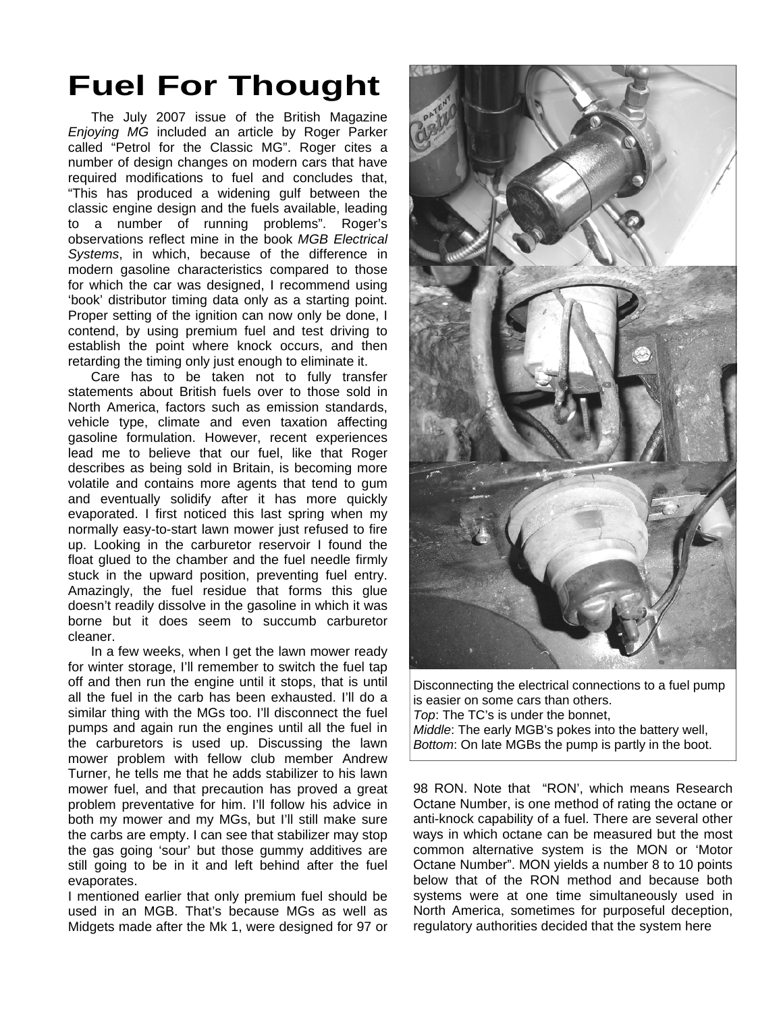## **Fuel For Thought**

The July 2007 issue of the British Magazine *Enjoying MG* included an article by Roger Parker called "Petrol for the Classic MG". Roger cites a number of design changes on modern cars that have required modifications to fuel and concludes that, "This has produced a widening gulf between the classic engine design and the fuels available, leading to a number of running problems". Roger's observations reflect mine in the book *MGB Electrical Systems*, in which, because of the difference in modern gasoline characteristics compared to those for which the car was designed, I recommend using 'book' distributor timing data only as a starting point. Proper setting of the ignition can now only be done, I contend, by using premium fuel and test driving to establish the point where knock occurs, and then retarding the timing only just enough to eliminate it.

Care has to be taken not to fully transfer statements about British fuels over to those sold in North America, factors such as emission standards, vehicle type, climate and even taxation affecting gasoline formulation. However, recent experiences lead me to believe that our fuel, like that Roger describes as being sold in Britain, is becoming more volatile and contains more agents that tend to gum and eventually solidify after it has more quickly evaporated. I first noticed this last spring when my normally easy-to-start lawn mower just refused to fire up. Looking in the carburetor reservoir I found the float glued to the chamber and the fuel needle firmly stuck in the upward position, preventing fuel entry. Amazingly, the fuel residue that forms this glue doesn't readily dissolve in the gasoline in which it was borne but it does seem to succumb carburetor cleaner.

In a few weeks, when I get the lawn mower ready for winter storage, I'll remember to switch the fuel tap off and then run the engine until it stops, that is until all the fuel in the carb has been exhausted. I'll do a similar thing with the MGs too. I'll disconnect the fuel pumps and again run the engines until all the fuel in the carburetors is used up. Discussing the lawn mower problem with fellow club member Andrew Turner, he tells me that he adds stabilizer to his lawn mower fuel, and that precaution has proved a great problem preventative for him. I'll follow his advice in both my mower and my MGs, but I'll still make sure the carbs are empty. I can see that stabilizer may stop the gas going 'sour' but those gummy additives are still going to be in it and left behind after the fuel evaporates.

I mentioned earlier that only premium fuel should be used in an MGB. That's because MGs as well as Midgets made after the Mk 1, were designed for 97 or



Disconnecting the electrical connections to a fuel pump is easier on some cars than others. *Top*: The TC's is under the bonnet, *Middle*: The early MGB's pokes into the battery well, *Bottom*: On late MGBs the pump is partly in the boot.

98 RON. Note that "RON', which means Research Octane Number, is one method of rating the octane or anti-knock capability of a fuel. There are several other ways in which octane can be measured but the most common alternative system is the MON or 'Motor Octane Number". MON yields a number 8 to 10 points below that of the RON method and because both systems were at one time simultaneously used in North America, sometimes for purposeful deception, regulatory authorities decided that the system here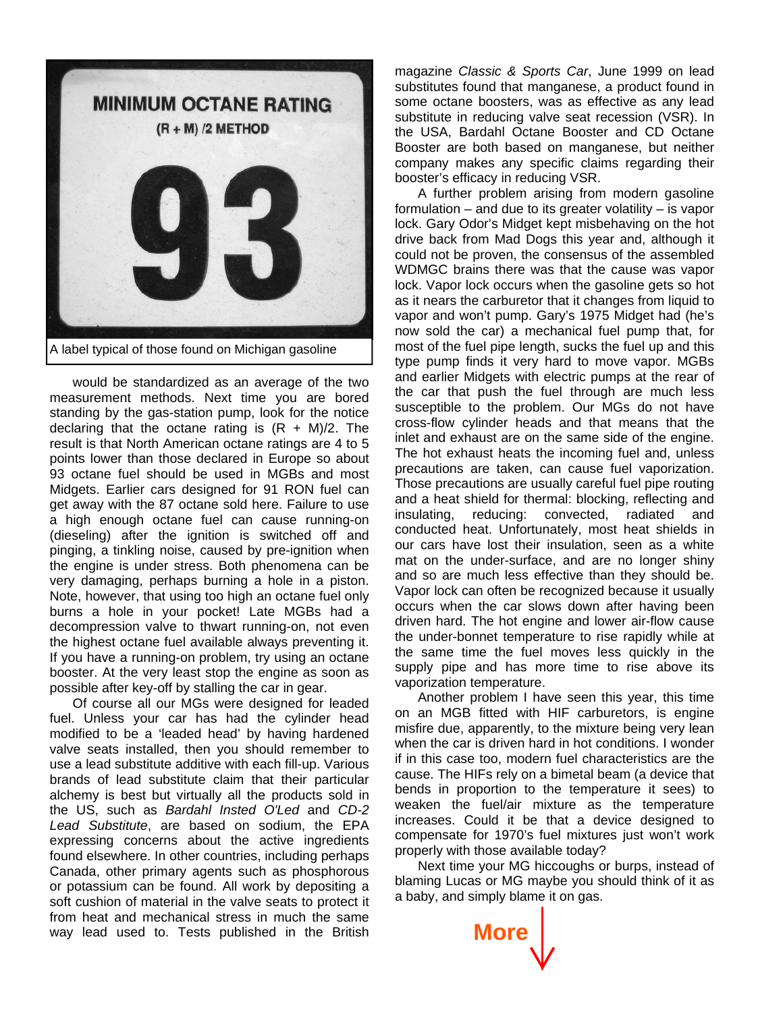

would be standardized as an average of the two measurement methods. Next time you are bored standing by the gas-station pump, look for the notice declaring that the octane rating is  $(R + M)/2$ . The result is that North American octane ratings are 4 to 5 points lower than those declared in Europe so about 93 octane fuel should be used in MGBs and most Midgets. Earlier cars designed for 91 RON fuel can get away with the 87 octane sold here. Failure to use a high enough octane fuel can cause running-on (dieseling) after the ignition is switched off and pinging, a tinkling noise, caused by pre-ignition when the engine is under stress. Both phenomena can be very damaging, perhaps burning a hole in a piston. Note, however, that using too high an octane fuel only burns a hole in your pocket! Late MGBs had a decompression valve to thwart running-on, not even the highest octane fuel available always preventing it. If you have a running-on problem, try using an octane booster. At the very least stop the engine as soon as possible after key-off by stalling the car in gear.

Of course all our MGs were designed for leaded fuel. Unless your car has had the cylinder head modified to be a 'leaded head' by having hardened valve seats installed, then you should remember to use a lead substitute additive with each fill-up. Various brands of lead substitute claim that their particular alchemy is best but virtually all the products sold in the US, such as *Bardahl Insted O'Led* and *CD-2 Lead Substitute*, are based on sodium, the EPA expressing concerns about the active ingredients found elsewhere. In other countries, including perhaps Canada, other primary agents such as phosphorous or potassium can be found. All work by depositing a soft cushion of material in the valve seats to protect it from heat and mechanical stress in much the same way lead used to. Tests published in the British

magazine *Classic & Sports Car*, June 1999 on lead substitutes found that manganese, a product found in some octane boosters, was as effective as any lead substitute in reducing valve seat recession (VSR). In the USA, Bardahl Octane Booster and CD Octane Booster are both based on manganese, but neither company makes any specific claims regarding their booster's efficacy in reducing VSR.

A further problem arising from modern gasoline formulation – and due to its greater volatility – is vapor lock. Gary Odor's Midget kept misbehaving on the hot drive back from Mad Dogs this year and, although it could not be proven, the consensus of the assembled WDMGC brains there was that the cause was vapor lock. Vapor lock occurs when the gasoline gets so hot as it nears the carburetor that it changes from liquid to vapor and won't pump. Gary's 1975 Midget had (he's now sold the car) a mechanical fuel pump that, for most of the fuel pipe length, sucks the fuel up and this type pump finds it very hard to move vapor. MGBs and earlier Midgets with electric pumps at the rear of the car that push the fuel through are much less susceptible to the problem. Our MGs do not have cross-flow cylinder heads and that means that the inlet and exhaust are on the same side of the engine. The hot exhaust heats the incoming fuel and, unless precautions are taken, can cause fuel vaporization. Those precautions are usually careful fuel pipe routing and a heat shield for thermal: blocking, reflecting and insulating, reducing: convected, radiated and conducted heat. Unfortunately, most heat shields in our cars have lost their insulation, seen as a white mat on the under-surface, and are no longer shiny and so are much less effective than they should be. Vapor lock can often be recognized because it usually occurs when the car slows down after having been driven hard. The hot engine and lower air-flow cause the under-bonnet temperature to rise rapidly while at the same time the fuel moves less quickly in the supply pipe and has more time to rise above its vaporization temperature.

Another problem I have seen this year, this time on an MGB fitted with HIF carburetors, is engine misfire due, apparently, to the mixture being very lean when the car is driven hard in hot conditions. I wonder if in this case too, modern fuel characteristics are the cause. The HIFs rely on a bimetal beam (a device that bends in proportion to the temperature it sees) to weaken the fuel/air mixture as the temperature increases. Could it be that a device designed to compensate for 1970's fuel mixtures just won't work properly with those available today?

Next time your MG hiccoughs or burps, instead of blaming Lucas or MG maybe you should think of it as a baby, and simply blame it on gas.

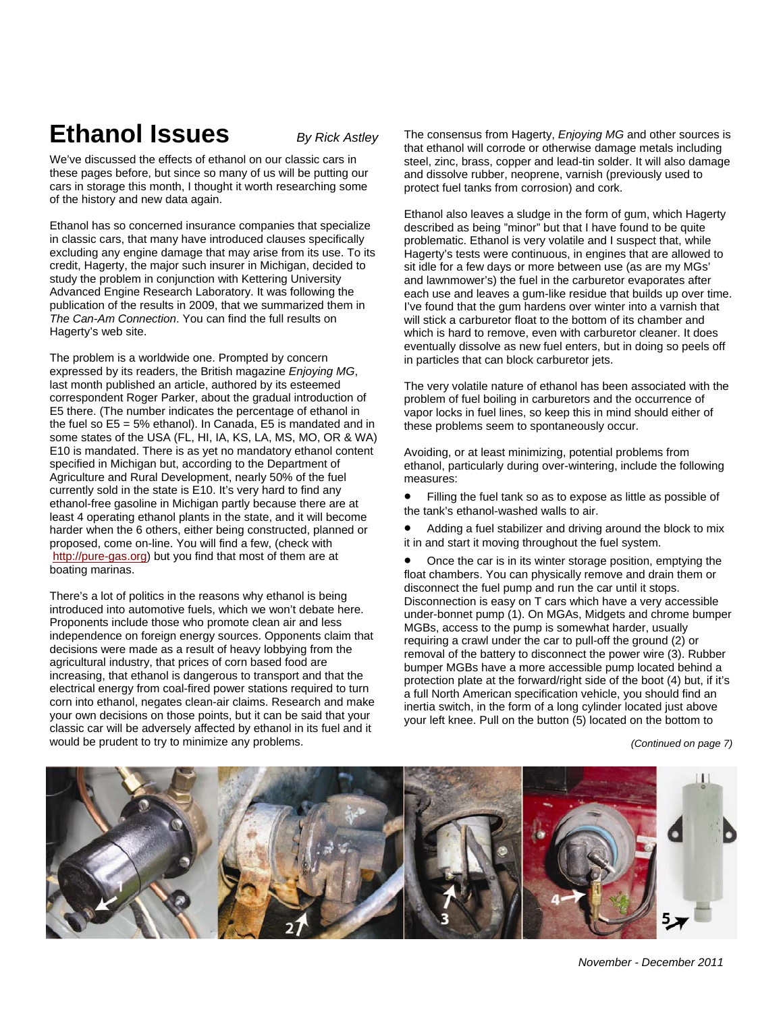We've discussed the effects of ethanol on our classic cars in these pages before, but since so many of us will be putting our cars in storage this month, I thought it worth researching some of the history and new data again.

Ethanol has so concerned insurance companies that specialize in classic cars, that many have introduced clauses specifically excluding any engine damage that may arise from its use. To its credit, Hagerty, the major such insurer in Michigan, decided to study the problem in conjunction with Kettering University Advanced Engine Research Laboratory. It was following the publication of the results in 2009, that we summarized them in *The Can-Am Connection*. You can find the full results on Hagerty's web site.

The problem is a worldwide one. Prompted by concern expressed by its readers, the British magazine *Enjoying MG*, last month published an article, authored by its esteemed correspondent Roger Parker, about the gradual introduction of E5 there. (The number indicates the percentage of ethanol in the fuel so E5 = 5% ethanol). In Canada, E5 is mandated and in some states of the USA (FL, HI, IA, KS, LA, MS, MO, OR & WA) E10 is mandated. There is as yet no mandatory ethanol content specified in Michigan but, according to the Department of Agriculture and Rural Development, nearly 50% of the fuel currently sold in the state is E10. It's very hard to find any ethanol-free gasoline in Michigan partly because there are at least 4 operating ethanol plants in the state, and it will become harder when the 6 others, either being constructed, planned or proposed, come on-line. You will find a few, (check with http://pure-gas.org) but you find that most of them are at boating marinas.

There's a lot of politics in the reasons why ethanol is being introduced into automotive fuels, which we won't debate here. Proponents include those who promote clean air and less independence on foreign energy sources. Opponents claim that decisions were made as a result of heavy lobbying from the agricultural industry, that prices of corn based food are increasing, that ethanol is dangerous to transport and that the electrical energy from coal-fired power stations required to turn corn into ethanol, negates clean-air claims. Research and make your own decisions on those points, but it can be said that your classic car will be adversely affected by ethanol in its fuel and it would be prudent to try to minimize any problems.

**Ethanol Issues** *By Rick Astley* The consensus from Hagerty, *Enjoying MG* and other sources is that ethanol will corrode or otherwise damage metals including steel, zinc, brass, copper and lead-tin solder. It will also damage and dissolve rubber, neoprene, varnish (previously used to protect fuel tanks from corrosion) and cork.

> Ethanol also leaves a sludge in the form of gum, which Hagerty described as being "minor" but that I have found to be quite problematic. Ethanol is very volatile and I suspect that, while Hagerty's tests were continuous, in engines that are allowed to sit idle for a few days or more between use (as are my MGs' and lawnmower's) the fuel in the carburetor evaporates after each use and leaves a gum-like residue that builds up over time. I've found that the gum hardens over winter into a varnish that will stick a carburetor float to the bottom of its chamber and which is hard to remove, even with carburetor cleaner. It does eventually dissolve as new fuel enters, but in doing so peels off in particles that can block carburetor jets.

The very volatile nature of ethanol has been associated with the problem of fuel boiling in carburetors and the occurrence of vapor locks in fuel lines, so keep this in mind should either of these problems seem to spontaneously occur.

Avoiding, or at least minimizing, potential problems from ethanol, particularly during over-wintering, include the following measures:

- Filling the fuel tank so as to expose as little as possible of the tank's ethanol-washed walls to air.
- Adding a fuel stabilizer and driving around the block to mix it in and start it moving throughout the fuel system.

• Once the car is in its winter storage position, emptying the float chambers. You can physically remove and drain them or disconnect the fuel pump and run the car until it stops. Disconnection is easy on T cars which have a very accessible under-bonnet pump (1). On MGAs, Midgets and chrome bumper MGBs, access to the pump is somewhat harder, usually requiring a crawl under the car to pull-off the ground (2) or removal of the battery to disconnect the power wire (3). Rubber bumper MGBs have a more accessible pump located behind a protection plate at the forward/right side of the boot (4) but, if it's a full North American specification vehicle, you should find an inertia switch, in the form of a long cylinder located just above your left knee. Pull on the button (5) located on the bottom to

*(Continued on page 7)*